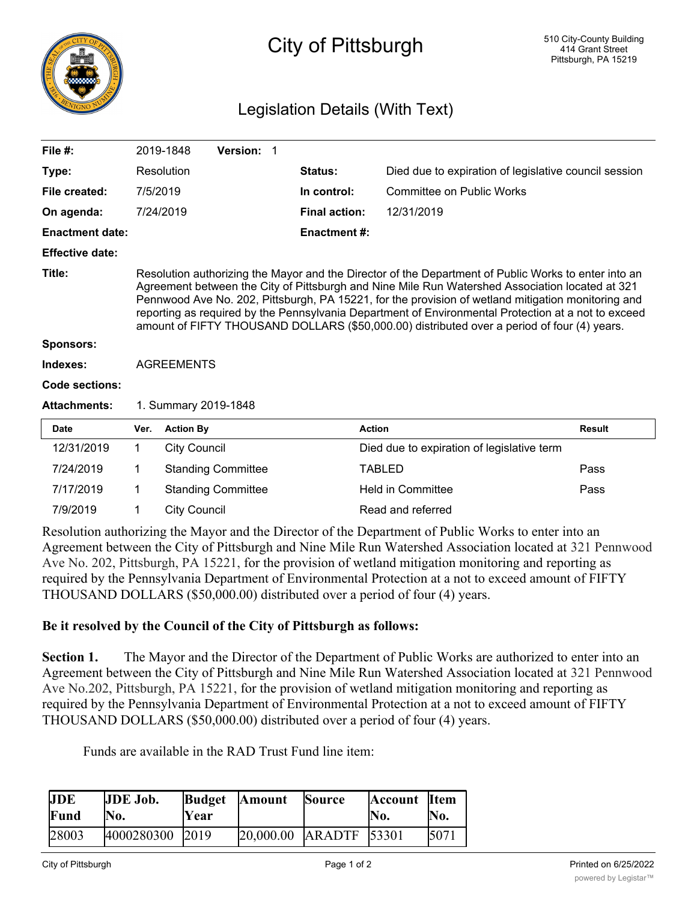

## City of Pittsburgh

## Legislation Details (With Text)

| File $#$ :             |                                                                                                                                                                                                                                                                                                                                                                                                                                                                                                                     | 2019-1848                                | Version: 1  |                                  |                                                       |               |  |  |
|------------------------|---------------------------------------------------------------------------------------------------------------------------------------------------------------------------------------------------------------------------------------------------------------------------------------------------------------------------------------------------------------------------------------------------------------------------------------------------------------------------------------------------------------------|------------------------------------------|-------------|----------------------------------|-------------------------------------------------------|---------------|--|--|
| Type:                  |                                                                                                                                                                                                                                                                                                                                                                                                                                                                                                                     | Resolution                               |             | Status:                          | Died due to expiration of legislative council session |               |  |  |
| File created:          | 7/5/2019                                                                                                                                                                                                                                                                                                                                                                                                                                                                                                            |                                          | In control: | <b>Committee on Public Works</b> |                                                       |               |  |  |
| On agenda:             |                                                                                                                                                                                                                                                                                                                                                                                                                                                                                                                     | 7/24/2019                                |             | <b>Final action:</b>             | 12/31/2019                                            |               |  |  |
| <b>Enactment date:</b> |                                                                                                                                                                                                                                                                                                                                                                                                                                                                                                                     |                                          |             | <b>Enactment #:</b>              |                                                       |               |  |  |
| <b>Effective date:</b> |                                                                                                                                                                                                                                                                                                                                                                                                                                                                                                                     |                                          |             |                                  |                                                       |               |  |  |
| Title:                 | Resolution authorizing the Mayor and the Director of the Department of Public Works to enter into an<br>Agreement between the City of Pittsburgh and Nine Mile Run Watershed Association located at 321<br>Pennwood Ave No. 202, Pittsburgh, PA 15221, for the provision of wetland mitigation monitoring and<br>reporting as required by the Pennsylvania Department of Environmental Protection at a not to exceed<br>amount of FIFTY THOUSAND DOLLARS (\$50,000.00) distributed over a period of four (4) years. |                                          |             |                                  |                                                       |               |  |  |
| <b>Sponsors:</b>       |                                                                                                                                                                                                                                                                                                                                                                                                                                                                                                                     |                                          |             |                                  |                                                       |               |  |  |
| Indexes:               | <b>AGREEMENTS</b>                                                                                                                                                                                                                                                                                                                                                                                                                                                                                                   |                                          |             |                                  |                                                       |               |  |  |
| Code sections:         |                                                                                                                                                                                                                                                                                                                                                                                                                                                                                                                     |                                          |             |                                  |                                                       |               |  |  |
| <b>Attachments:</b>    | 1. Summary 2019-1848                                                                                                                                                                                                                                                                                                                                                                                                                                                                                                |                                          |             |                                  |                                                       |               |  |  |
| <b>Date</b>            | Ver.                                                                                                                                                                                                                                                                                                                                                                                                                                                                                                                | <b>Action By</b>                         |             |                                  | <b>Action</b>                                         | <b>Result</b> |  |  |
| 12/31/2019             | $\mathbf{1}$                                                                                                                                                                                                                                                                                                                                                                                                                                                                                                        | <b>City Council</b>                      |             |                                  | Died due to expiration of legislative term            |               |  |  |
| 7/24/2019              | 1                                                                                                                                                                                                                                                                                                                                                                                                                                                                                                                   | <b>Standing Committee</b>                |             |                                  | <b>TABLED</b>                                         | Pass          |  |  |
| 7/17/2019              | 1                                                                                                                                                                                                                                                                                                                                                                                                                                                                                                                   | <b>Standing Committee</b>                |             |                                  | <b>Held in Committee</b>                              | Pass          |  |  |
| 7/9/2019               | 1                                                                                                                                                                                                                                                                                                                                                                                                                                                                                                                   | Read and referred<br><b>City Council</b> |             |                                  |                                                       |               |  |  |
|                        |                                                                                                                                                                                                                                                                                                                                                                                                                                                                                                                     |                                          |             |                                  |                                                       |               |  |  |

Resolution authorizing the Mayor and the Director of the Department of Public Works to enter into an Agreement between the City of Pittsburgh and Nine Mile Run Watershed Association located at 321 Pennwood Ave No. 202, Pittsburgh, PA 15221, for the provision of wetland mitigation monitoring and reporting as required by the Pennsylvania Department of Environmental Protection at a not to exceed amount of FIFTY THOUSAND DOLLARS (\$50,000.00) distributed over a period of four (4) years.

## **Be it resolved by the Council of the City of Pittsburgh as follows:**

**Section 1.** The Mayor and the Director of the Department of Public Works are authorized to enter into an Agreement between the City of Pittsburgh and Nine Mile Run Watershed Association located at 321 Pennwood Ave No.202, Pittsburgh, PA 15221, for the provision of wetland mitigation monitoring and reporting as required by the Pennsylvania Department of Environmental Protection at a not to exceed amount of FIFTY THOUSAND DOLLARS (\$50,000.00) distributed over a period of four (4) years.

Funds are available in the RAD Trust Fund line item:

| <b>JDE</b><br>Fund | <b>JDE Job.</b><br>No. | <b>Budget</b><br>Year | <b>Amount</b> | <b>Source</b>       | <b>Account</b> Item<br>'No. | No.  |
|--------------------|------------------------|-----------------------|---------------|---------------------|-----------------------------|------|
| 28003              | 4000280300             | 2019                  | 20,000.00     | <b>ARADTE</b> 53301 |                             | 5071 |